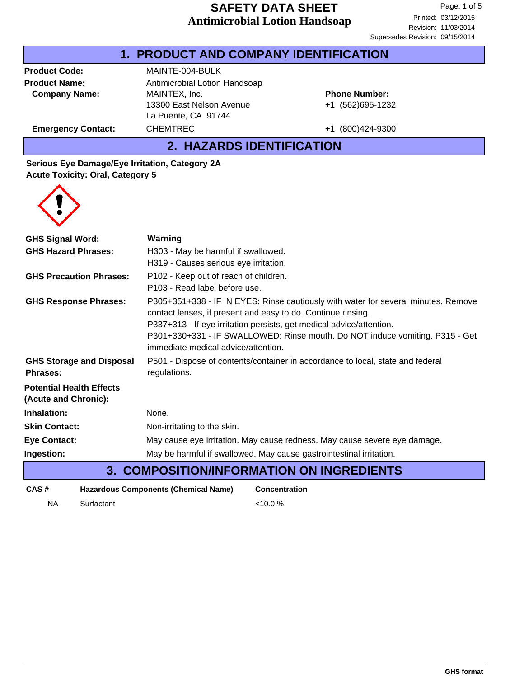### **Antimicrobial Lotion Handsoap SAFETY DATA SHEET**

#### **1. PRODUCT AND COMPANY IDENTIFICATION**

**Company Name:** MAINTEX, Inc.

**Product Code:** MAINTE-004-BULK **Product Name:** Antimicrobial Lotion Handsoap 13300 East Nelson Avenue La Puente, CA 91744 Emergency Contact: CHEMTREC +1 (800)424-9300

+1 (562)695-1232 **Phone Number:**

**2. HAZARDS IDENTIFICATION**

#### **Serious Eye Damage/Eye Irritation, Category 2A Acute Toxicity: Oral, Category 5**



| <b>GHS Signal Word:</b>                                              | Warning                                                                                                                                            |  |  |
|----------------------------------------------------------------------|----------------------------------------------------------------------------------------------------------------------------------------------------|--|--|
| <b>GHS Hazard Phrases:</b>                                           | H303 - May be harmful if swallowed.                                                                                                                |  |  |
|                                                                      | H319 - Causes serious eye irritation.                                                                                                              |  |  |
| <b>GHS Precaution Phrases:</b>                                       | P102 - Keep out of reach of children.                                                                                                              |  |  |
|                                                                      | P103 - Read label before use.                                                                                                                      |  |  |
| <b>GHS Response Phrases:</b>                                         | P305+351+338 - IF IN EYES: Rinse cautiously with water for several minutes. Remove<br>contact lenses, if present and easy to do. Continue rinsing. |  |  |
|                                                                      | P337+313 - If eye irritation persists, get medical advice/attention.                                                                               |  |  |
|                                                                      | P301+330+331 - IF SWALLOWED: Rinse mouth. Do NOT induce vomiting. P315 - Get<br>immediate medical advice/attention.                                |  |  |
| <b>GHS Storage and Disposal</b><br><b>Phrases:</b>                   | P501 - Dispose of contents/container in accordance to local, state and federal<br>regulations.                                                     |  |  |
| <b>Potential Health Effects</b><br>(Acute and Chronic):              |                                                                                                                                                    |  |  |
| Inhalation:                                                          | None.                                                                                                                                              |  |  |
| <b>Skin Contact:</b>                                                 | Non-irritating to the skin.                                                                                                                        |  |  |
| <b>Eye Contact:</b>                                                  | May cause eye irritation. May cause redness. May cause severe eye damage.                                                                          |  |  |
| Ingestion:                                                           | May be harmful if swallowed. May cause gastrointestinal irritation.                                                                                |  |  |
| <b>3. COMPOSITION/INFORMATION ON INGREDIENTS</b>                     |                                                                                                                                                    |  |  |
| <b>Hazardous Components (Chemical Name)</b><br>CAS#<br>Concentration |                                                                                                                                                    |  |  |

NA Surfactant <10.0 %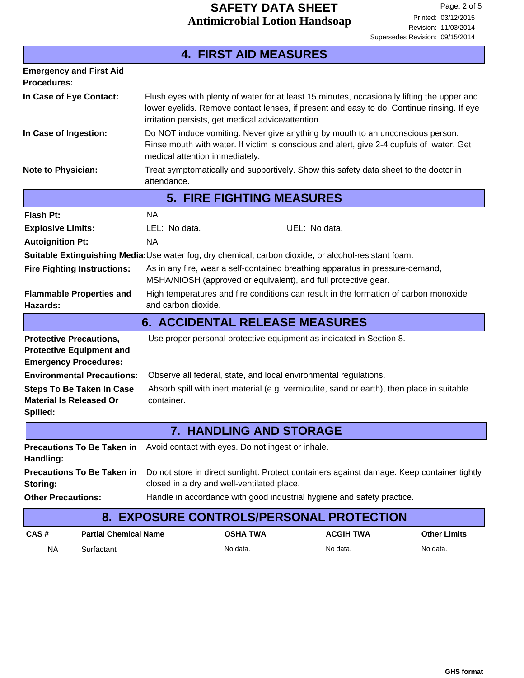| <b>4. FIRST AID MEASURES</b>                                                                          |                                                                                        |                                                                                                                                                                                                                                                |                                                                     |                  |                     |  |
|-------------------------------------------------------------------------------------------------------|----------------------------------------------------------------------------------------|------------------------------------------------------------------------------------------------------------------------------------------------------------------------------------------------------------------------------------------------|---------------------------------------------------------------------|------------------|---------------------|--|
| <b>Emergency and First Aid</b><br><b>Procedures:</b>                                                  |                                                                                        |                                                                                                                                                                                                                                                |                                                                     |                  |                     |  |
| In Case of Eye Contact:                                                                               |                                                                                        | Flush eyes with plenty of water for at least 15 minutes, occasionally lifting the upper and<br>lower eyelids. Remove contact lenses, if present and easy to do. Continue rinsing. If eye<br>irritation persists, get medical advice/attention. |                                                                     |                  |                     |  |
| In Case of Ingestion:                                                                                 |                                                                                        | Do NOT induce vomiting. Never give anything by mouth to an unconscious person.<br>Rinse mouth with water. If victim is conscious and alert, give 2-4 cupfuls of water. Get<br>medical attention immediately.                                   |                                                                     |                  |                     |  |
| <b>Note to Physician:</b>                                                                             |                                                                                        | Treat symptomatically and supportively. Show this safety data sheet to the doctor in<br>attendance.                                                                                                                                            |                                                                     |                  |                     |  |
|                                                                                                       | <b>5. FIRE FIGHTING MEASURES</b>                                                       |                                                                                                                                                                                                                                                |                                                                     |                  |                     |  |
| <b>Flash Pt:</b>                                                                                      |                                                                                        | <b>NA</b>                                                                                                                                                                                                                                      |                                                                     |                  |                     |  |
| <b>Explosive Limits:</b>                                                                              |                                                                                        | LEL: No data.                                                                                                                                                                                                                                  | UEL: No data.                                                       |                  |                     |  |
| <b>Autoignition Pt:</b>                                                                               |                                                                                        | <b>NA</b>                                                                                                                                                                                                                                      |                                                                     |                  |                     |  |
| Suitable Extinguishing Media: Use water fog, dry chemical, carbon dioxide, or alcohol-resistant foam. |                                                                                        |                                                                                                                                                                                                                                                |                                                                     |                  |                     |  |
| <b>Fire Fighting Instructions:</b>                                                                    |                                                                                        | As in any fire, wear a self-contained breathing apparatus in pressure-demand,<br>MSHA/NIOSH (approved or equivalent), and full protective gear.                                                                                                |                                                                     |                  |                     |  |
| <b>Flammable Properties and</b><br>Hazards:                                                           |                                                                                        | High temperatures and fire conditions can result in the formation of carbon monoxide<br>and carbon dioxide.                                                                                                                                    |                                                                     |                  |                     |  |
|                                                                                                       |                                                                                        |                                                                                                                                                                                                                                                | <b>6. ACCIDENTAL RELEASE MEASURES</b>                               |                  |                     |  |
| <b>Protective Precautions,</b><br><b>Protective Equipment and</b><br><b>Emergency Procedures:</b>     |                                                                                        |                                                                                                                                                                                                                                                | Use proper personal protective equipment as indicated in Section 8. |                  |                     |  |
|                                                                                                       | <b>Environmental Precautions:</b>                                                      |                                                                                                                                                                                                                                                | Observe all federal, state, and local environmental regulations.    |                  |                     |  |
| <b>Material Is Released Or</b><br>Spilled:                                                            | <b>Steps To Be Taken In Case</b>                                                       | Absorb spill with inert material (e.g. vermiculite, sand or earth), then place in suitable<br>container.                                                                                                                                       |                                                                     |                  |                     |  |
|                                                                                                       |                                                                                        | 7.                                                                                                                                                                                                                                             | <b>HANDLING AND STORAGE</b>                                         |                  |                     |  |
| Handling:                                                                                             | <b>Precautions To Be Taken in</b><br>Avoid contact with eyes. Do not ingest or inhale. |                                                                                                                                                                                                                                                |                                                                     |                  |                     |  |
| Storing:                                                                                              | <b>Precautions To Be Taken in</b>                                                      | Do not store in direct sunlight. Protect containers against damage. Keep container tightly<br>closed in a dry and well-ventilated place.                                                                                                       |                                                                     |                  |                     |  |
| <b>Other Precautions:</b><br>Handle in accordance with good industrial hygiene and safety practice.   |                                                                                        |                                                                                                                                                                                                                                                |                                                                     |                  |                     |  |
| 8. EXPOSURE CONTROLS/PERSONAL PROTECTION                                                              |                                                                                        |                                                                                                                                                                                                                                                |                                                                     |                  |                     |  |
| CAS#                                                                                                  | <b>Partial Chemical Name</b>                                                           |                                                                                                                                                                                                                                                | <b>OSHA TWA</b>                                                     | <b>ACGIH TWA</b> | <b>Other Limits</b> |  |
| <b>NA</b>                                                                                             | Surfactant                                                                             |                                                                                                                                                                                                                                                | No data.                                                            | No data.         | No data.            |  |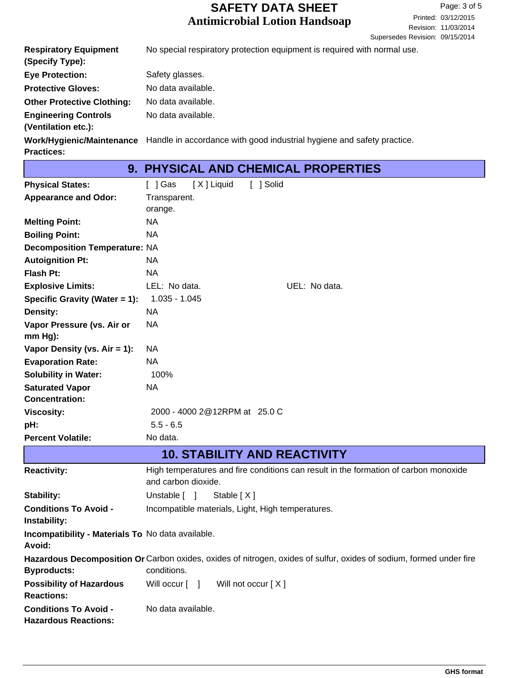# **Antimicrobial Lotion Handsoap SAFETY DATA SHEET**

| <b>Respiratory Equipment</b><br>(Specify Type):    | No special respiratory protection equipment is required with normal use.                         |
|----------------------------------------------------|--------------------------------------------------------------------------------------------------|
| <b>Eye Protection:</b>                             | Safety glasses.                                                                                  |
| <b>Protective Gloves:</b>                          | No data available.                                                                               |
| <b>Other Protective Clothing:</b>                  | No data available.                                                                               |
| <b>Engineering Controls</b><br>(Ventilation etc.): | No data available.                                                                               |
| <b>Practices:</b>                                  | Work/Hygienic/Maintenance Handle in accordance with good industrial hygiene and safety practice. |

Т

| <b>9. PHYSICAL AND CHEMICAL PROPERTIES</b>                  |                                                                                                                                    |  |  |
|-------------------------------------------------------------|------------------------------------------------------------------------------------------------------------------------------------|--|--|
| <b>Physical States:</b>                                     | [ ] Solid<br>[ ] Gas<br>[X] Liquid                                                                                                 |  |  |
| <b>Appearance and Odor:</b>                                 | Transparent.                                                                                                                       |  |  |
|                                                             | orange.                                                                                                                            |  |  |
| <b>Melting Point:</b>                                       | <b>NA</b>                                                                                                                          |  |  |
| <b>Boiling Point:</b>                                       | <b>NA</b>                                                                                                                          |  |  |
| <b>Decomposition Temperature: NA</b>                        |                                                                                                                                    |  |  |
| <b>Autoignition Pt:</b>                                     | <b>NA</b>                                                                                                                          |  |  |
| <b>Flash Pt:</b>                                            | <b>NA</b>                                                                                                                          |  |  |
| <b>Explosive Limits:</b>                                    | LEL: No data.<br>UEL: No data.                                                                                                     |  |  |
| Specific Gravity (Water = 1):                               | $1.035 - 1.045$                                                                                                                    |  |  |
| Density:                                                    | <b>NA</b>                                                                                                                          |  |  |
| Vapor Pressure (vs. Air or                                  | <b>NA</b>                                                                                                                          |  |  |
| mm Hg):                                                     |                                                                                                                                    |  |  |
| Vapor Density (vs. $Air = 1$ ):                             | NA                                                                                                                                 |  |  |
| <b>Evaporation Rate:</b>                                    | <b>NA</b>                                                                                                                          |  |  |
| <b>Solubility in Water:</b>                                 | 100%                                                                                                                               |  |  |
| <b>Saturated Vapor</b>                                      | <b>NA</b>                                                                                                                          |  |  |
| <b>Concentration:</b>                                       |                                                                                                                                    |  |  |
| <b>Viscosity:</b>                                           | 2000 - 4000 2@12RPM at 25.0 C                                                                                                      |  |  |
| pH:                                                         | $5.5 - 6.5$                                                                                                                        |  |  |
| <b>Percent Volatile:</b>                                    | No data.                                                                                                                           |  |  |
|                                                             | <b>10. STABILITY AND REACTIVITY</b>                                                                                                |  |  |
| <b>Reactivity:</b>                                          | High temperatures and fire conditions can result in the formation of carbon monoxide<br>and carbon dioxide.                        |  |  |
| <b>Stability:</b>                                           | Unstable $\lceil \quad \rceil$<br>Stable [X]                                                                                       |  |  |
| <b>Conditions To Avoid -</b><br>Instability:                | Incompatible materials, Light, High temperatures.                                                                                  |  |  |
| Incompatibility - Materials To No data available.<br>Avoid: |                                                                                                                                    |  |  |
| <b>Byproducts:</b>                                          | Hazardous Decomposition Or Carbon oxides, oxides of nitrogen, oxides of sulfur, oxides of sodium, formed under fire<br>conditions. |  |  |
| <b>Possibility of Hazardous</b><br><b>Reactions:</b>        | Will occur [ ]<br>Will not occur [X]                                                                                               |  |  |
| <b>Conditions To Avoid -</b><br><b>Hazardous Reactions:</b> | No data available.                                                                                                                 |  |  |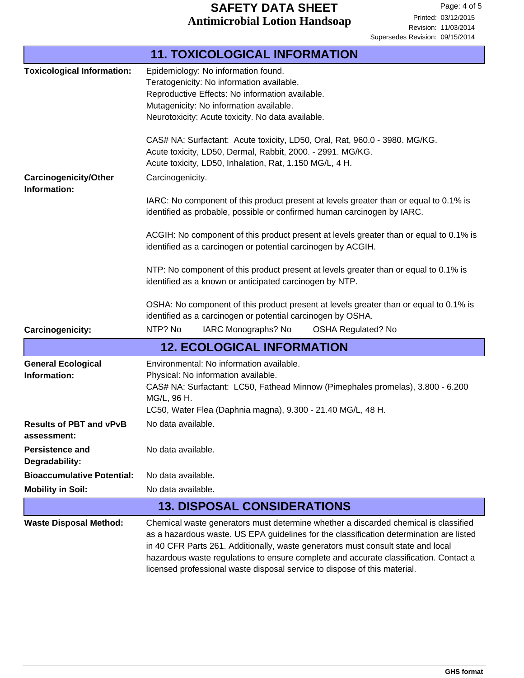# **Antimicrobial Lotion Handsoap SAFETY DATA SHEET**

|                                               | <b>11. TOXICOLOGICAL INFORMATION</b>                                                                                                                                                                                                                                                                                                                                                                                                     |  |  |
|-----------------------------------------------|------------------------------------------------------------------------------------------------------------------------------------------------------------------------------------------------------------------------------------------------------------------------------------------------------------------------------------------------------------------------------------------------------------------------------------------|--|--|
| <b>Toxicological Information:</b>             | Epidemiology: No information found.<br>Teratogenicity: No information available.<br>Reproductive Effects: No information available.<br>Mutagenicity: No information available.<br>Neurotoxicity: Acute toxicity. No data available.<br>CAS# NA: Surfactant: Acute toxicity, LD50, Oral, Rat, 960.0 - 3980. MG/KG.                                                                                                                        |  |  |
|                                               | Acute toxicity, LD50, Dermal, Rabbit, 2000. - 2991. MG/KG.<br>Acute toxicity, LD50, Inhalation, Rat, 1.150 MG/L, 4 H.                                                                                                                                                                                                                                                                                                                    |  |  |
| <b>Carcinogenicity/Other</b><br>Information:  | Carcinogenicity.                                                                                                                                                                                                                                                                                                                                                                                                                         |  |  |
|                                               | IARC: No component of this product present at levels greater than or equal to 0.1% is<br>identified as probable, possible or confirmed human carcinogen by IARC.                                                                                                                                                                                                                                                                         |  |  |
|                                               | ACGIH: No component of this product present at levels greater than or equal to 0.1% is<br>identified as a carcinogen or potential carcinogen by ACGIH.                                                                                                                                                                                                                                                                                   |  |  |
|                                               | NTP: No component of this product present at levels greater than or equal to 0.1% is<br>identified as a known or anticipated carcinogen by NTP.                                                                                                                                                                                                                                                                                          |  |  |
|                                               | OSHA: No component of this product present at levels greater than or equal to 0.1% is<br>identified as a carcinogen or potential carcinogen by OSHA.                                                                                                                                                                                                                                                                                     |  |  |
| Carcinogenicity:                              | NTP? No<br>IARC Monographs? No<br><b>OSHA Regulated? No</b>                                                                                                                                                                                                                                                                                                                                                                              |  |  |
|                                               | <b>12. ECOLOGICAL INFORMATION</b>                                                                                                                                                                                                                                                                                                                                                                                                        |  |  |
| <b>General Ecological</b><br>Information:     | Environmental: No information available.<br>Physical: No information available.<br>CAS# NA: Surfactant: LC50, Fathead Minnow (Pimephales promelas), 3.800 - 6.200<br>MG/L, 96 H.<br>LC50, Water Flea (Daphnia magna), 9.300 - 21.40 MG/L, 48 H.                                                                                                                                                                                          |  |  |
| <b>Results of PBT and vPvB</b><br>assessment: | No data available.                                                                                                                                                                                                                                                                                                                                                                                                                       |  |  |
| <b>Persistence and</b><br>Degradability:      | No data available.                                                                                                                                                                                                                                                                                                                                                                                                                       |  |  |
| <b>Bioaccumulative Potential:</b>             | No data available.                                                                                                                                                                                                                                                                                                                                                                                                                       |  |  |
| <b>Mobility in Soil:</b>                      | No data available.                                                                                                                                                                                                                                                                                                                                                                                                                       |  |  |
|                                               | <b>13. DISPOSAL CONSIDERATIONS</b>                                                                                                                                                                                                                                                                                                                                                                                                       |  |  |
| <b>Waste Disposal Method:</b>                 | Chemical waste generators must determine whether a discarded chemical is classified<br>as a hazardous waste. US EPA guidelines for the classification determination are listed<br>in 40 CFR Parts 261. Additionally, waste generators must consult state and local<br>hazardous waste regulations to ensure complete and accurate classification. Contact a<br>licensed professional waste disposal service to dispose of this material. |  |  |